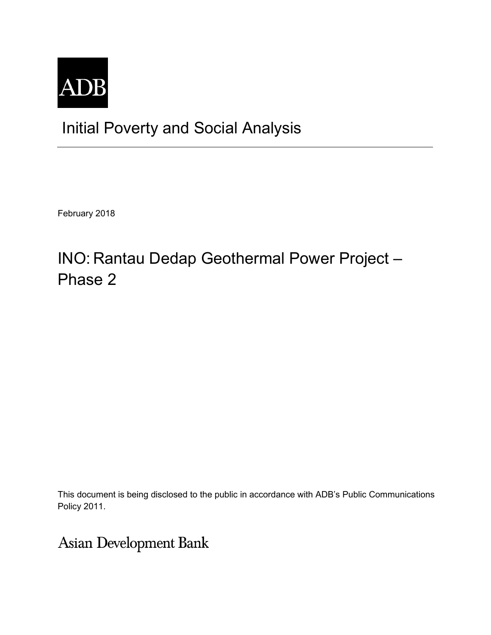

## Initial Poverty and Social Analysis

February 2018

## INO: Rantau Dedap Geothermal Power Project – Phase 2

This document is being disclosed to the public in accordance with ADB's Public Communications Policy 2011.

**Asian Development Bank**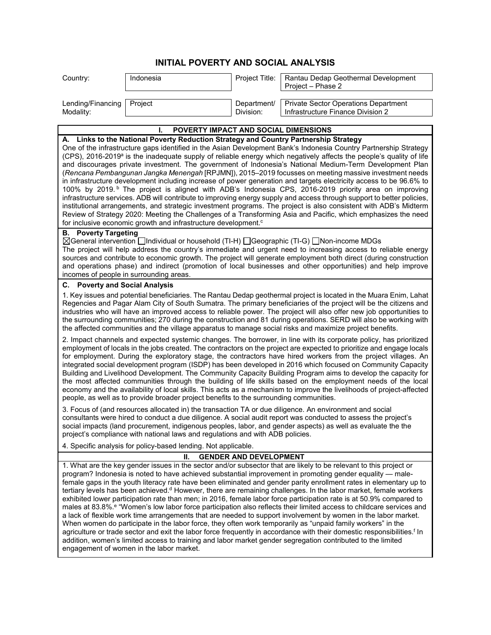## **INITIAL POVERTY AND SOCIAL ANALYSIS**

| Country:                       | Indonesia |           | Project Title:   Rantau Dedap Geothermal Development<br>Project - Phase 2               |
|--------------------------------|-----------|-----------|-----------------------------------------------------------------------------------------|
| Lending/Financing<br>Modality: | Project   | Division: | Department/   Private Sector Operations Department<br>Infrastructure Finance Division 2 |

| POVERTY IMPACT AND SOCIAL DIMENSIONS<br>ı.                                                                                                                                                                                                                                                                                                                                                                                                                                                                                                                                                                                                                                                                                                                                                                                                                                                                                                                                                                                                                                                                                                                                                                                                                                          |
|-------------------------------------------------------------------------------------------------------------------------------------------------------------------------------------------------------------------------------------------------------------------------------------------------------------------------------------------------------------------------------------------------------------------------------------------------------------------------------------------------------------------------------------------------------------------------------------------------------------------------------------------------------------------------------------------------------------------------------------------------------------------------------------------------------------------------------------------------------------------------------------------------------------------------------------------------------------------------------------------------------------------------------------------------------------------------------------------------------------------------------------------------------------------------------------------------------------------------------------------------------------------------------------|
| A. Links to the National Poverty Reduction Strategy and Country Partnership Strategy<br>One of the infrastructure gaps identified in the Asian Development Bank's Indonesia Country Partnership Strategy<br>(CPS), 2016-2019 <sup>a</sup> is the inadequate supply of reliable energy which negatively affects the people's quality of life<br>and discourages private investment. The government of Indonesia's National Medium-Term Development Plan<br>(Rencana Pembangunan Jangka Menengah [RPJMN]), 2015-2019 focusses on meeting massive investment needs<br>in infrastructure development including increase of power generation and targets electricity access to be 96.6% to<br>100% by 2019. <sup>b</sup> The project is aligned with ADB's Indonesia CPS, 2016-2019 priority area on improving<br>infrastructure services. ADB will contribute to improving energy supply and access through support to better policies,<br>institutional arrangements, and strategic investment programs. The project is also consistent with ADB's Midterm<br>Review of Strategy 2020: Meeting the Challenges of a Transforming Asia and Pacific, which emphasizes the need<br>for inclusive economic growth and infrastructure development. <sup>c</sup>                              |
| <b>B.</b> Poverty Targeting<br>⊠General intervention □Individual or household (TI-H) □Geographic (TI-G) □Non-income MDGs<br>The project will help address the country's immediate and urgent need to increasing access to reliable energy<br>sources and contribute to economic growth. The project will generate employment both direct (during construction<br>and operations phase) and indirect (promotion of local businesses and other opportunities) and help improve<br>incomes of people in surrounding areas.                                                                                                                                                                                                                                                                                                                                                                                                                                                                                                                                                                                                                                                                                                                                                             |
| <b>Poverty and Social Analysis</b><br>С.                                                                                                                                                                                                                                                                                                                                                                                                                                                                                                                                                                                                                                                                                                                                                                                                                                                                                                                                                                                                                                                                                                                                                                                                                                            |
| 1. Key issues and potential beneficiaries. The Rantau Dedap geothermal project is located in the Muara Enim, Lahat<br>Regencies and Pagar Alam City of South Sumatra. The primary beneficiaries of the project will be the citizens and<br>industries who will have an improved access to reliable power. The project will also offer new job opportunities to<br>the surrounding communities; 270 during the construction and 81 during operations. SERD will also be working with<br>the affected communities and the village apparatus to manage social risks and maximize project benefits.                                                                                                                                                                                                                                                                                                                                                                                                                                                                                                                                                                                                                                                                                     |
| 2. Impact channels and expected systemic changes. The borrower, in line with its corporate policy, has prioritized<br>employment of locals in the jobs created. The contractors on the project are expected to prioritize and engage locals<br>for employment. During the exploratory stage, the contractors have hired workers from the project villages. An<br>integrated social development program (ISDP) has been developed in 2016 which focused on Community Capacity<br>Building and Livelihood Development. The Community Capacity Building Program aims to develop the capacity for<br>the most affected communities through the building of life skills based on the employment needs of the local<br>economy and the availability of local skills. This acts as a mechanism to improve the livelihoods of project-affected<br>people, as well as to provide broader project benefits to the surrounding communities.                                                                                                                                                                                                                                                                                                                                                    |
| 3. Focus of (and resources allocated in) the transaction TA or due diligence. An environment and social<br>consultants were hired to conduct a due diligence. A social audit report was conducted to assess the project's<br>social impacts (land procurement, indigenous peoples, labor, and gender aspects) as well as evaluate the the<br>project's compliance with national laws and regulations and with ADB policies.                                                                                                                                                                                                                                                                                                                                                                                                                                                                                                                                                                                                                                                                                                                                                                                                                                                         |
| 4. Specific analysis for policy-based lending. Not applicable.                                                                                                                                                                                                                                                                                                                                                                                                                                                                                                                                                                                                                                                                                                                                                                                                                                                                                                                                                                                                                                                                                                                                                                                                                      |
| <b>GENDER AND DEVELOPMENT</b><br>Н.                                                                                                                                                                                                                                                                                                                                                                                                                                                                                                                                                                                                                                                                                                                                                                                                                                                                                                                                                                                                                                                                                                                                                                                                                                                 |
| 1. What are the key gender issues in the sector and/or subsector that are likely to be relevant to this project or<br>program? Indonesia is noted to have achieved substantial improvement in promoting gender equality - male-<br>female gaps in the youth literacy rate have been eliminated and gender parity enrollment rates in elementary up to<br>tertiary levels has been achieved. <sup>d</sup> However, there are remaining challenges. In the labor market, female workers<br>exhibited lower participation rate than men; in 2016, female labor force participation rate is at 50.9% compared to<br>males at 83.8%. <sup>e</sup> "Women's low labor force participation also reflects their limited access to childcare services and<br>a lack of flexible work time arrangements that are needed to support involvement by women in the labor market.<br>When women do participate in the labor force, they often work temporarily as "unpaid family workers" in the<br>agriculture or trade sector and exit the labor force frequently in accordance with their domestic responsibilities. <sup>f</sup> In<br>addition, women's limited access to training and labor market gender segregation contributed to the limited<br>engagement of women in the labor market. |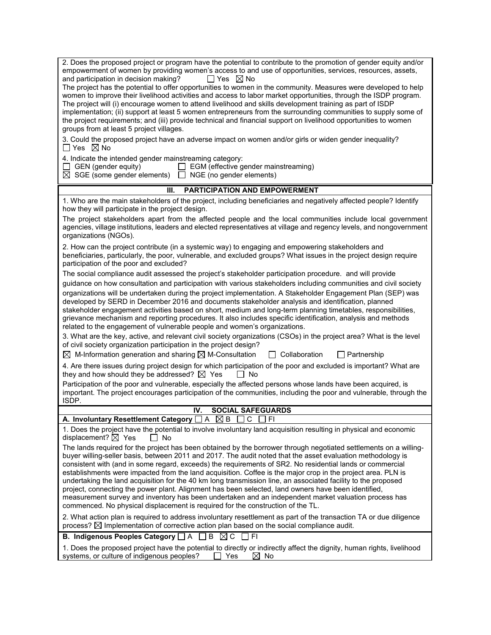| 2. Does the proposed project or program have the potential to contribute to the promotion of gender equity and/or<br>empowerment of women by providing women's access to and use of opportunities, services, resources, assets,<br>$\Box$ Yes $\boxtimes$ No<br>and participation in decision making?<br>The project has the potential to offer opportunities to women in the community. Measures were developed to help<br>women to improve their livelihood activities and access to labor market opportunities, through the ISDP program.<br>The project will (i) encourage women to attend livelihood and skills development training as part of ISDP<br>implementation; (ii) support at least 5 women entrepreneurs from the surrounding communities to supply some of<br>the project requirements; and (iii) provide technical and financial support on livelihood opportunities to women<br>groups from at least 5 project villages.<br>3. Could the proposed project have an adverse impact on women and/or girls or widen gender inequality? |  |  |
|-------------------------------------------------------------------------------------------------------------------------------------------------------------------------------------------------------------------------------------------------------------------------------------------------------------------------------------------------------------------------------------------------------------------------------------------------------------------------------------------------------------------------------------------------------------------------------------------------------------------------------------------------------------------------------------------------------------------------------------------------------------------------------------------------------------------------------------------------------------------------------------------------------------------------------------------------------------------------------------------------------------------------------------------------------|--|--|
| $\Box$ Yes $\boxtimes$ No<br>4. Indicate the intended gender mainstreaming category:<br>$\Box$ EGM (effective gender mainstreaming)<br>$\Box$ GEN (gender equity)                                                                                                                                                                                                                                                                                                                                                                                                                                                                                                                                                                                                                                                                                                                                                                                                                                                                                     |  |  |
| $\boxtimes$ SGE (some gender elements) $\Box$ NGE (no gender elements)                                                                                                                                                                                                                                                                                                                                                                                                                                                                                                                                                                                                                                                                                                                                                                                                                                                                                                                                                                                |  |  |
| <b>PARTICIPATION AND EMPOWERMENT</b><br>Ш.                                                                                                                                                                                                                                                                                                                                                                                                                                                                                                                                                                                                                                                                                                                                                                                                                                                                                                                                                                                                            |  |  |
| 1. Who are the main stakeholders of the project, including beneficiaries and negatively affected people? Identify<br>how they will participate in the project design.                                                                                                                                                                                                                                                                                                                                                                                                                                                                                                                                                                                                                                                                                                                                                                                                                                                                                 |  |  |
| The project stakeholders apart from the affected people and the local communities include local government<br>agencies, village institutions, leaders and elected representatives at village and regency levels, and nongovernment<br>organizations (NGOs).                                                                                                                                                                                                                                                                                                                                                                                                                                                                                                                                                                                                                                                                                                                                                                                           |  |  |
| 2. How can the project contribute (in a systemic way) to engaging and empowering stakeholders and<br>beneficiaries, particularly, the poor, vulnerable, and excluded groups? What issues in the project design require<br>participation of the poor and excluded?                                                                                                                                                                                                                                                                                                                                                                                                                                                                                                                                                                                                                                                                                                                                                                                     |  |  |
| The social compliance audit assessed the project's stakeholder participation procedure. and will provide                                                                                                                                                                                                                                                                                                                                                                                                                                                                                                                                                                                                                                                                                                                                                                                                                                                                                                                                              |  |  |
| guidance on how consultation and participation with various stakeholders including communities and civil society<br>organizations will be undertaken during the project implementation. A Stakeholder Engagement Plan (SEP) was<br>developed by SERD in December 2016 and documents stakeholder analysis and identification, planned<br>stakeholder engagement activities based on short, medium and long-term planning timetables, responsibilities,<br>grievance mechanism and reporting procedures. It also includes specific identification, analysis and methods<br>related to the engagement of vulnerable people and women's organizations.                                                                                                                                                                                                                                                                                                                                                                                                    |  |  |
| 3. What are the key, active, and relevant civil society organizations (CSOs) in the project area? What is the level<br>of civil society organization participation in the project design?                                                                                                                                                                                                                                                                                                                                                                                                                                                                                                                                                                                                                                                                                                                                                                                                                                                             |  |  |
| $\boxtimes$ M-Information generation and sharing $\boxtimes$ M-Consultation<br>$\Box$ Collaboration<br>$\Box$ Partnership                                                                                                                                                                                                                                                                                                                                                                                                                                                                                                                                                                                                                                                                                                                                                                                                                                                                                                                             |  |  |
| 4. Are there issues during project design for which participation of the poor and excluded is important? What are<br>they and how should they be addressed? $\boxtimes$ Yes<br>$\Box$ No<br>Participation of the poor and vulnerable, especially the affected persons whose lands have been acquired, is                                                                                                                                                                                                                                                                                                                                                                                                                                                                                                                                                                                                                                                                                                                                              |  |  |
| important. The project encourages participation of the communities, including the poor and vulnerable, through the<br>ISDP.                                                                                                                                                                                                                                                                                                                                                                                                                                                                                                                                                                                                                                                                                                                                                                                                                                                                                                                           |  |  |
| <b>SOCIAL SAFEGUARDS</b><br>IV.                                                                                                                                                                                                                                                                                                                                                                                                                                                                                                                                                                                                                                                                                                                                                                                                                                                                                                                                                                                                                       |  |  |
| A. Involuntary Resettlement Category $\Box A \boxtimes B \Box C \Box F$                                                                                                                                                                                                                                                                                                                                                                                                                                                                                                                                                                                                                                                                                                                                                                                                                                                                                                                                                                               |  |  |
| 1. Does the project have the potential to involve involuntary land acquisition resulting in physical and economic<br>displacement? $\boxtimes$ Yes<br>$\Box$ No                                                                                                                                                                                                                                                                                                                                                                                                                                                                                                                                                                                                                                                                                                                                                                                                                                                                                       |  |  |
| The lands required for the project has been obtained by the borrower through negotiated settlements on a willing-<br>buyer willing-seller basis, between 2011 and 2017. The audit noted that the asset evaluation methodology is<br>consistent with (and in some regard, exceeds) the requirements of SR2. No residential lands or commercial<br>establishments were impacted from the land acquisition. Coffee is the major crop in the project area. PLN is<br>undertaking the land acquisition for the 40 km long transmission line, an associated facility to the proposed<br>project, connecting the power plant. Alignment has been selected, land owners have been identified,<br>measurement survey and inventory has been undertaken and an independent market valuation process has<br>commenced. No physical displacement is required for the construction of the TL.                                                                                                                                                                      |  |  |
| 2. What action plan is required to address involuntary resettlement as part of the transaction TA or due diligence<br>process? $\boxtimes$ Implementation of corrective action plan based on the social compliance audit.                                                                                                                                                                                                                                                                                                                                                                                                                                                                                                                                                                                                                                                                                                                                                                                                                             |  |  |
| B. Indigenous Peoples Category <sub>△</sub> A △B △C △FI                                                                                                                                                                                                                                                                                                                                                                                                                                                                                                                                                                                                                                                                                                                                                                                                                                                                                                                                                                                               |  |  |
| 1. Does the proposed project have the potential to directly or indirectly affect the dignity, human rights, livelihood<br>systems, or culture of indigenous peoples?<br>$\boxtimes$ No<br>$\Box$ Yes                                                                                                                                                                                                                                                                                                                                                                                                                                                                                                                                                                                                                                                                                                                                                                                                                                                  |  |  |